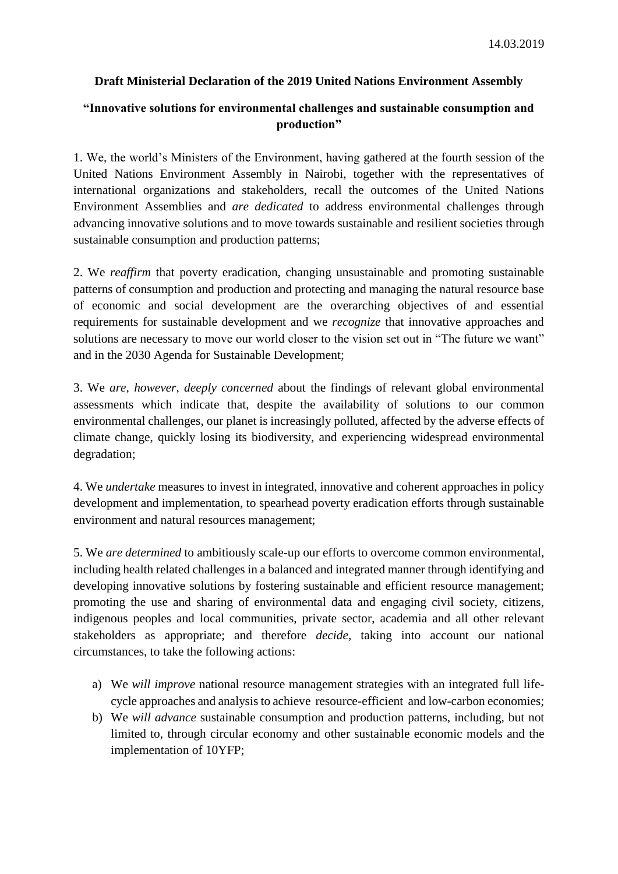## **Draft Ministerial Declaration of the 2019 United Nations Environment Assembly**

## **"Innovative solutions for environmental challenges and sustainable consumption and production"**

1. We, the world's Ministers of the Environment, having gathered at the fourth session of the United Nations Environment Assembly in Nairobi, together with the representatives of international organizations and stakeholders, recall the outcomes of the United Nations Environment Assemblies and *are dedicated* to address environmental challenges through advancing innovative solutions and to move towards sustainable and resilient societies through sustainable consumption and production patterns;

2. We *reaffirm* that poverty eradication, changing unsustainable and promoting sustainable patterns of consumption and production and protecting and managing the natural resource base of economic and social development are the overarching objectives of and essential requirements for sustainable development and we *recognize* that innovative approaches and solutions are necessary to move our world closer to the vision set out in "The future we want" and in the 2030 Agenda for Sustainable Development;

3. We *are, however, deeply concerned* about the findings of relevant global environmental assessments which indicate that, despite the availability of solutions to our common environmental challenges, our planet is increasingly polluted, affected by the adverse effects of climate change, quickly losing its biodiversity, and experiencing widespread environmental degradation;

4. We *undertake* measures to invest in integrated, innovative and coherent approaches in policy development and implementation, to spearhead poverty eradication efforts through sustainable environment and natural resources management;

5. We *are determined* to ambitiously scale-up our efforts to overcome common environmental, including health related challenges in a balanced and integrated manner through identifying and developing innovative solutions by fostering sustainable and efficient resource management; promoting the use and sharing of environmental data and engaging civil society, citizens, indigenous peoples and local communities, private sector, academia and all other relevant stakeholders as appropriate; and therefore *decide,* taking into account our national circumstances, to take the following actions:

- a) We *will improve* national resource management strategies with an integrated full lifecycle approaches and analysis to achieve resource-efficient and low-carbon economies;
- b) We *will advance* sustainable consumption and production patterns, including, but not limited to, through circular economy and other sustainable economic models and the implementation of 10YFP;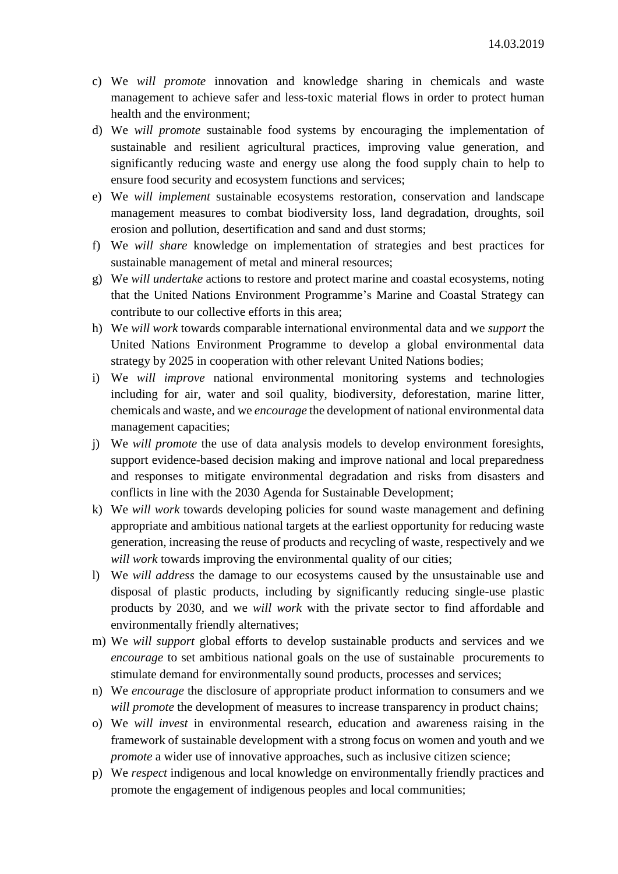- c) We *will promote* innovation and knowledge sharing in chemicals and waste management to achieve safer and less-toxic material flows in order to protect human health and the environment;
- d) We *will promote* sustainable food systems by encouraging the implementation of sustainable and resilient agricultural practices, improving value generation, and significantly reducing waste and energy use along the food supply chain to help to ensure food security and ecosystem functions and services;
- e) We *will implement* sustainable ecosystems restoration, conservation and landscape management measures to combat biodiversity loss, land degradation, droughts, soil erosion and pollution, desertification and sand and dust storms;
- f) We *will share* knowledge on implementation of strategies and best practices for sustainable management of metal and mineral resources;
- g) We *will undertake* actions to restore and protect marine and coastal ecosystems, noting that the United Nations Environment Programme's Marine and Coastal Strategy can contribute to our collective efforts in this area;
- h) We *will work* towards comparable international environmental data and we *support* the United Nations Environment Programme to develop a global environmental data strategy by 2025 in cooperation with other relevant United Nations bodies;
- i) We *will improve* national environmental monitoring systems and technologies including for air, water and soil quality, biodiversity, deforestation, marine litter, chemicals and waste, and we *encourage* the development of national environmental data management capacities;
- j) We *will promote* the use of data analysis models to develop environment foresights, support evidence-based decision making and improve national and local preparedness and responses to mitigate environmental degradation and risks from disasters and conflicts in line with the 2030 Agenda for Sustainable Development;
- k) We *will work* towards developing policies for sound waste management and defining appropriate and ambitious national targets at the earliest opportunity for reducing waste generation, increasing the reuse of products and recycling of waste, respectively and we *will work* towards improving the environmental quality of our cities;
- l) We *will address* the damage to our ecosystems caused by the unsustainable use and disposal of plastic products, including by significantly reducing single-use plastic products by 2030, and we *will work* with the private sector to find affordable and environmentally friendly alternatives;
- m) We *will support* global efforts to develop sustainable products and services and we *encourage* to set ambitious national goals on the use of sustainable procurements to stimulate demand for environmentally sound products, processes and services;
- n) We *encourage* the disclosure of appropriate product information to consumers and we *will promote* the development of measures to increase transparency in product chains;
- o) We *will invest* in environmental research, education and awareness raising in the framework of sustainable development with a strong focus on women and youth and we *promote* a wider use of innovative approaches, such as inclusive citizen science;
- p) We *respect* indigenous and local knowledge on environmentally friendly practices and promote the engagement of indigenous peoples and local communities;